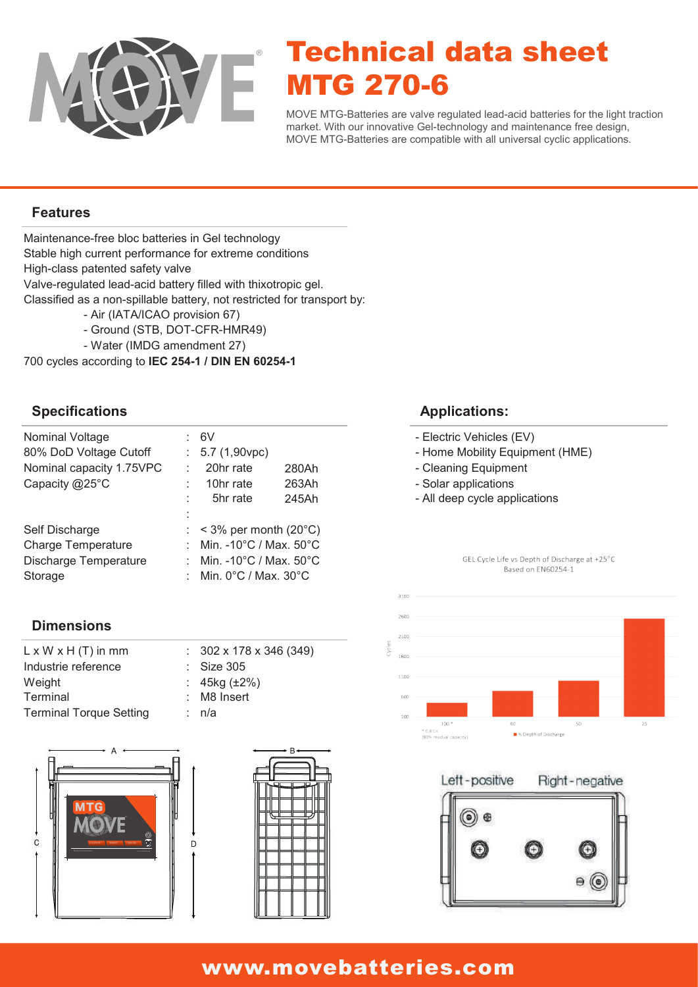

# Technical data sheet MTG 270-6

MOVE MTG-Batteries are valve regulated lead-acid batteries for the light traction market. With our innovative Gel-technology and maintenance free design, MOVE MTG-Batteries are compatible with all universal cyclic applications.

#### **Features**

Maintenance-free bloc batteries in Gel technology Classified as a non-spillable battery, not restricted for transport by: Valve-regulated lead-acid battery filled with thixotropic gel. High-class patented safety valve Stable high current performance for extreme conditions

- Air (IATA/ICAO provision 67)
- Ground (STB, DOT-CFR-HMR49)
- Water (IMDG amendment 27)

700 cycles according to **IEC 254-1 / DIN EN 60254-1**

#### **Specifications**

| Nominal Voltage<br>80% DoD Voltage Cutoff | 6V<br>$: 5.7(1,90$ vpc)                      |       |  |
|-------------------------------------------|----------------------------------------------|-------|--|
| Nominal capacity 1.75VPC                  | 20hr rate                                    | 280Ah |  |
| Capacity @25°C                            | 10hr rate                                    | 263Ah |  |
|                                           | 5hr rate                                     | 245Ah |  |
|                                           |                                              |       |  |
| Self Discharge                            | $:$ < 3% per month (20 $^{\circ}$ C)         |       |  |
| <b>Charge Temperature</b>                 | : Min. -10°C / Max. 50°C                     |       |  |
| Discharge Temperature                     | Min. -10 $^{\circ}$ C / Max. 50 $^{\circ}$ C |       |  |
| Storage                                   | Min. $0^{\circ}$ C / Max. $30^{\circ}$ C     |       |  |

#### **Dimensions**

| $L \times W \times H$ (T) in mm | $: 302 \times 178 \times 346 (349)$ |
|---------------------------------|-------------------------------------|
| Industrie reference             | $\therefore$ Size 305               |
| Weight                          | : $45kg (\pm 2\%)$                  |
| Terminal                        | $:$ M8 Insert                       |
| <b>Terminal Torque Setting</b>  | : n/a                               |





#### **Applications:**

- Electric Vehicles (EV)
- Home Mobility Equipment (HME)
- Cleaning Equipment
- Solar applications
- All deep cycle applications



GEL Cycle Life vs Depth of Discharge at +25°C



### www.movebatteries.com